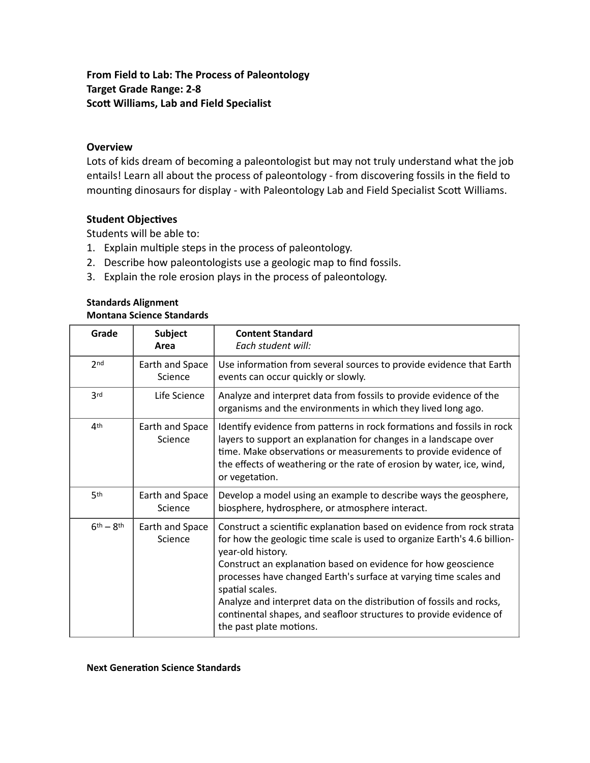## **From Field to Lab: The Process of Paleontology Target Grade Range: 2-8 Scott Williams, Lab and Field Specialist**

## **Overview**

Lots of kids dream of becoming a paleontologist but may not truly understand what the job entails! Learn all about the process of paleontology - from discovering fossils in the field to mounting dinosaurs for display - with Paleontology Lab and Field Specialist Scott Williams.

## **Student Objectives**

Students will be able to:

- 1. Explain multiple steps in the process of paleontology.
- 2. Describe how paleontologists use a geologic map to find fossils.
- 3. Explain the role erosion plays in the process of paleontology.

## **Standards Alignment Montana Science Standards**

| Grade           | <b>Subject</b><br>Area     | <b>Content Standard</b><br>Each student will:                                                                                                                                                                                                                                                                                                                                                                                                                                                            |
|-----------------|----------------------------|----------------------------------------------------------------------------------------------------------------------------------------------------------------------------------------------------------------------------------------------------------------------------------------------------------------------------------------------------------------------------------------------------------------------------------------------------------------------------------------------------------|
| 2 <sub>nd</sub> | Earth and Space<br>Science | Use information from several sources to provide evidence that Earth<br>events can occur quickly or slowly.                                                                                                                                                                                                                                                                                                                                                                                               |
| 3 <sup>rd</sup> | Life Science               | Analyze and interpret data from fossils to provide evidence of the<br>organisms and the environments in which they lived long ago.                                                                                                                                                                                                                                                                                                                                                                       |
| 4 <sup>th</sup> | Earth and Space<br>Science | Identify evidence from patterns in rock formations and fossils in rock<br>layers to support an explanation for changes in a landscape over<br>time. Make observations or measurements to provide evidence of<br>the effects of weathering or the rate of erosion by water, ice, wind,<br>or vegetation.                                                                                                                                                                                                  |
| 5th             | Earth and Space<br>Science | Develop a model using an example to describe ways the geosphere,<br>biosphere, hydrosphere, or atmosphere interact.                                                                                                                                                                                                                                                                                                                                                                                      |
| $6th - 8th$     | Earth and Space<br>Science | Construct a scientific explanation based on evidence from rock strata<br>for how the geologic time scale is used to organize Earth's 4.6 billion-<br>year-old history.<br>Construct an explanation based on evidence for how geoscience<br>processes have changed Earth's surface at varying time scales and<br>spatial scales.<br>Analyze and interpret data on the distribution of fossils and rocks,<br>continental shapes, and seafloor structures to provide evidence of<br>the past plate motions. |

**Next Generation Science Standards**